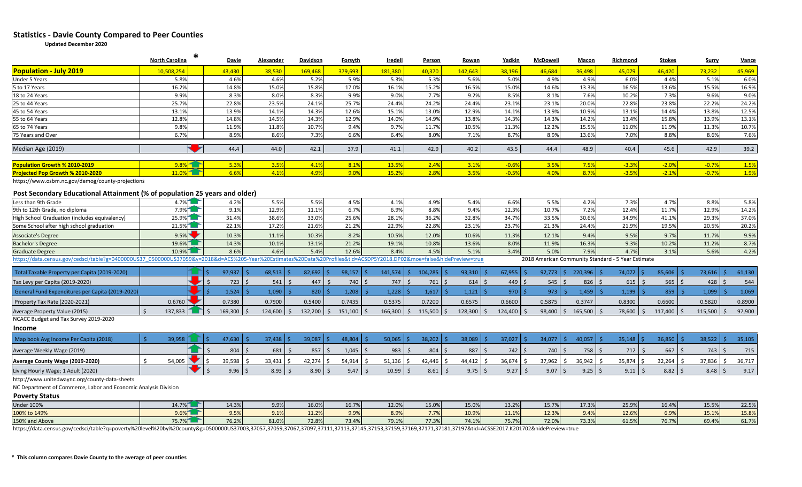## **Statistics - Davie County Compared to Peer Counties**

**Updated December 2020**

|                                                                                                                                                                       | <b>North Carolina</b>         |         | Davie                                  | Alexander               | Davidson | Forsyth            | Iredell               | Person                                      | Rowan                 | Yadkin         | McDowell    | Macon                                              | Richmond          | <b>Stokes</b>        | Surry   | <b>Vance</b>        |
|-----------------------------------------------------------------------------------------------------------------------------------------------------------------------|-------------------------------|---------|----------------------------------------|-------------------------|----------|--------------------|-----------------------|---------------------------------------------|-----------------------|----------------|-------------|----------------------------------------------------|-------------------|----------------------|---------|---------------------|
| <b>Population - July 2019</b>                                                                                                                                         | 10.508.254                    |         | 43.430                                 | 38.530                  | 169.468  | 379.693            | 181.380               | 40.370                                      | 142.643               | 38.196         | 46.684      | 36.498                                             | 45.079            | 46.420               | 73.232  | 45,969              |
| <b>Under 5 Years</b>                                                                                                                                                  | 5.8%                          |         | 4.6%                                   | 4.6%                    | 5.2%     | 5.9%               | 5.3%                  | 5.3%                                        | 5.6%                  | 5.0%           | 4.9%        | 4.9%                                               | 6.0%              | 4.4%                 | 5.1%    | 6.0%                |
| 5 to 17 Years                                                                                                                                                         | 16.2%                         |         | 14.8%                                  | 15.0%                   | 15.8%    | 17.0%              | 16.1%                 | 15.2%                                       | 16.5%                 | 15.0%          | 14.6%       | 13.3%                                              | 16.5%             | 13.6%                | 15.5%   | 16.9%               |
| 18 to 24 Years                                                                                                                                                        | 9.9%                          |         | 8.3%                                   | 8.0%                    | 8.3%     | 9.9%               | 9.0%                  | 7.7%                                        | 9.2%                  | 8.5%           | 8.1%        | 7.6%                                               | 10.2%             | 7.3%                 | 9.6%    | 9.0%                |
| 25 to 44 Years                                                                                                                                                        | 25.7%                         |         | 22.8%                                  | 23.5%                   | 24.1%    | 25.7%              | 24.4%                 | 24.2%                                       | 24.4%                 | 23.1%          | 23.1%       | 20.0%                                              | 22.8%             | 23.8%                | 22.2%   | 24.2%               |
| 45 to 54 Years                                                                                                                                                        | 13.1%                         |         | 13.9%                                  | 14.1%                   | 14.3%    | 12.6%              | 15.1%                 | 13.0%                                       | 12.9%                 | 14.1%          | 13.9%       | 10.9%                                              | 13.1%             | 14.4%                | 13.8%   | 12.5%               |
| 55 to 64 Years                                                                                                                                                        | 12.8%                         |         | 14.8%                                  | 14.5%                   | 14.3%    | 12.9%              | 14.0%                 | 14.9%                                       | 13.8%                 | 14.3%          | 14.3%       | 14.2%                                              | 13.4%             | 15.8%                | 13.9%   | 13.1%               |
| 65 to 74 Years                                                                                                                                                        | 9.8%                          |         | 11.9%                                  | 11.8%                   | 10.7%    | 9.4%               | 9.7%                  | 11.7%                                       | 10.5%                 | 11.3%          | 12.2%       | 15.5%                                              | 11.0%             | 11.9%                | 11.3%   | 10.7%               |
| 75 Years and Over                                                                                                                                                     | 6.7%                          |         | 8.9%                                   | 8.6%                    | 7.3%     | 6.6%               | 6.4%                  | 8.0%                                        | 7.1%                  | 8.7%           | 8.9%        | 13.6%                                              | 7.0%              | 8.8%                 | 8.6%    | 7.6%                |
| Median Age (2019)                                                                                                                                                     |                               | a ka    | 44.4                                   | 44.0                    | 42.1     | 37.9               | 41.1                  | 42.9                                        | 40.2                  | 43.5           | 44.4        | 48.9                                               | 40.4              | 45.6                 | 42.9    | 39.2                |
| Population Growth % 2010-2019                                                                                                                                         | $9.8\%$                       |         | 5.3%                                   | 3.5%                    | 4.1%     | 8.1%               | 13.5%                 | 2.4%                                        | 3.1%                  | $-0.6%$        | 3.5%        | 7.5%                                               | $-3.3%$           | $-2.0%$              | $-0.7%$ | 1.5%                |
| Projected Pop Growth % 2010-2020                                                                                                                                      | 11.0%                         |         | 6.6%                                   | 4.1%                    | 4.9%     | 9.0%               | 15.2%                 | 2.8%                                        | 3.5%                  | $-0.5%$        | 4.0%        | 8.7%                                               | $-3.5%$           | $-2.1%$              | $-0.7%$ | 1.9%                |
| https://www.osbm.nc.gov/demog/county-projections<br>Post Secondary Educational Attainment (% of population 25 years and older)<br>$4.7\%$                             |                               |         |                                        |                         |          |                    |                       |                                             |                       |                |             |                                                    |                   |                      |         |                     |
| Less than 9th Grade                                                                                                                                                   |                               |         | 4.2%                                   | 5.5%                    | 5.5%     | 4.5%               | 4.1%                  | 4.9%                                        | 5.4%                  | 6.6%           | 5.5%        | 4.2%                                               | 7.3%              | 4.7%                 | 8.8%    | 5.8%                |
| 9th to 12th Grade, no diploma                                                                                                                                         | 7.9%                          |         | 9.1%                                   | 12.9%                   | 11.1%    | 6.7%               | 6.9%                  | 8.8%                                        | 9.4%                  | 12.3%          | 10.7%       | 7.2%                                               | 12.4%             | 11.7%                | 12.9%   | 14.2%               |
| High School Graduation (includes equivalency)                                                                                                                         | 25.9%                         |         | 31.4%                                  | 38.6%                   | 33.0%    | 25.6%              | 28.1%                 | 36.2%                                       | 32.8%                 | 34.7%          | 33.5%       | 30.6%                                              | 34.9%             | 41.1%                | 29.3%   | 37.0%               |
| Some School after high school graduation                                                                                                                              | 21.5%                         |         | 22.1%                                  | 17.2%                   | 21.6%    | 21.2%              | 22.9%                 | 22.8%                                       | 23.1%                 | 23.7%          | 21.3%       | 24.4%                                              | 21.9%             | 19.5%                | 20.5%   | 20.2%               |
| <b>Associate's Degree</b>                                                                                                                                             | 9.5%                          |         | 10.3%                                  | 11.1%                   | 10.3%    | 8.2%               | 10.5%                 | 12.0%                                       | 10.6%                 | 11.3%          | 12.1%       | 9.4%                                               | 9.5%              | 9.7%                 | 11.7%   | 9.9%                |
| <b>Bachelor's Degree</b>                                                                                                                                              | 19.6%                         |         | 14.3%                                  | 10.1%                   | 13.1%    | 21.2%              | 19.1%                 | 10.8%                                       | 13.6%                 | 8.0%           | 11.9%       | 16.3%                                              | 9.3%              | 10.2%                | 11.2%   | 8.7%                |
| <b>Graduate Degree</b>                                                                                                                                                | 10.9%                         |         | 8.6%                                   | 4.6%                    | 5.4%     | 12.6%              | 8.4%                  | 4.5%                                        | 5.1%                  | 3.4%           | 5.0%        | 7.9%                                               | 4.7%              | 3.1%                 | 5.6%    | 4.2%                |
| https://data.census.gov/cedsci/table?g=0400000US37 0500000US37059&y=2018&d=ACS%205-Year%20Estimates%20Data%20Profiles&tid=ACSDP5Y2018.DP02&moe=false&hidePreview=true |                               |         |                                        |                         |          |                    |                       |                                             |                       |                |             | 2018 American Community Standard - 5 Year Estimate |                   |                      |         |                     |
| Total Taxable Property per Capita (2019-2020)                                                                                                                         |                               | $\zeta$ | 97,937<br><b>S</b>                     | 68,513                  | 82,692   | 98,157             | 141,574               | 104,285<br>-Ś.                              | $93,310$ \$           | 67,955<br>l Ś  | $92,773$ \$ | $220,396$ \$                                       | 74,072<br>$\zeta$ | 85,606<br>\$         | 73,616  | <b>S</b><br>61,130  |
| Tax Levy per Capita (2019-2020)                                                                                                                                       |                               | И       | $\zeta$<br>$723$ \$                    | 541<br>  \$             | 447      | 740 \$<br>Ŝ.       | 747                   | $761 \, \space{1}$ \$<br>$\mathsf{\dot{S}}$ | $614$ \$              | $449 \mid 5$   | 545         | $826$ \$<br>∣ \$                                   | 615<br>$\zeta$    | $565$ \$             | 428     | $\mathsf{S}$<br>544 |
| General Fund Expenditures per Capita (2019-2020)                                                                                                                      |                               | ▶       | 1,524                                  | 1,090                   | 820      | 1,208              | 1,228<br>$\zeta$      | 1,617                                       | $1,121$ \$<br>$\prec$ | $970$ \$       | 973         | 1,459<br>$\zeta$                                   | 1,199             | 859<br>Š.            | 1,099   | 1,069<br>Ś          |
| Property Tax Rate (2020-2021)                                                                                                                                         | 0.6760                        |         | 0.7380                                 | 0.7900                  | 0.5400   | 0.7435             | 0.5375                | 0.7200                                      | 0.6575                | 0.6600         | 0.5875      | 0.3747                                             | 0.8300            | 0.6600               | 0.5820  | 0.8900              |
| Average Property Value (2015)                                                                                                                                         | $\dot{\mathsf{S}}$<br>137.833 | ▜█▛     | $\mathsf{S}$<br>169,300<br>$\varsigma$ | 124,600<br>$\mathsf{S}$ | 132,200  | Ŝ.<br>$151,100$ \$ | 166,300               | $115,500$ \$<br>S.                          | $128,300$ \$          | 124,400<br>l s | 98,400      | $165,500$ \$<br>S.                                 | 78,600<br>Ŝ.      | 117,400              | 115,500 | 97,900<br>-Ś        |
| NCACC Budget and Tax Survey 2019-2020                                                                                                                                 |                               |         |                                        |                         |          |                    |                       |                                             |                       |                |             |                                                    |                   |                      |         |                     |
| <b>Income</b>                                                                                                                                                         |                               |         |                                        |                         |          |                    |                       |                                             |                       |                |             |                                                    |                   |                      |         |                     |
| Map book Avg Income Per Capita (2018)                                                                                                                                 | S.<br>39,958                  | Ŝ.      | 47,630                                 | 37,438                  | 39,087   | 48,804             | 50,065                | 38,202                                      | 38,089                | $37,027$ \$    | 34,077      | $40,057$ \$                                        | 35,148            | 36,850               | 38,522  | 35,105<br>-Ś        |
| Average Weekly Wage (2019)                                                                                                                                            |                               |         | 804                                    | 681<br>Ś                | 857      | 1,045              | 983                   | 804<br>$\varsigma$                          | 887<br>- Ś            | 742<br>l \$    | 740         | $758$ \$<br>Ŝ.                                     | 712<br>Ŝ.         | 667                  | 743     | 715<br>Ŝ.           |
| Average County Wage (2019-2020)                                                                                                                                       | $\mathsf{\hat{S}}$<br>54,005  | Ŝ.      | 39,598<br>Ŝ.                           | 33,431                  | 42,274   | 54,914             | 51,136<br>- \$        | 42,446                                      | 44,412<br>-S          | 36,674<br>-S   | 37,962      | 36,942<br>Ŝ.<br>-S                                 | 35,874<br>S       | 32,264               | 37,836  | 36,717<br>Ŝ.        |
| Living Hourly Wage; 1 Adult (2020)                                                                                                                                    |                               | ▸       | $\mathsf{S}$<br>$9.96$ \$              | 8.93<br>- Ś             | 8.90     | 9.47<br>$\zeta$    | 10.99<br>$\mathsf{S}$ | $8.61$ \$<br>$\zeta$                        | $9.75$   \$           | $9.27$ \$      | 9.07        | $9.25$   \$<br>l S                                 | 9.11<br>Ŝ.        | $8.82 \, \vert \, 5$ | 8.48    | 9.17<br>-Ś          |
| http://www.unitedwaync.org/county-data-sheets                                                                                                                         |                               |         |                                        |                         |          |                    |                       |                                             |                       |                |             |                                                    |                   |                      |         |                     |
| NC Department of Commerce, Labor and Economic Analysis Division                                                                                                       |                               |         |                                        |                         |          |                    |                       |                                             |                       |                |             |                                                    |                   |                      |         |                     |
| <b>Poverty Status</b>                                                                                                                                                 |                               |         |                                        |                         |          |                    |                       |                                             |                       |                |             |                                                    |                   |                      |         |                     |
| <b>Under 100%</b>                                                                                                                                                     | 14.7%                         |         | 14.3%                                  | 9.9%                    | 16.0%    | 16.7%              | 12.0%                 | 15.0%                                       | 15.0%                 | 13.2%          | 15.7%       | 17.3%                                              | 25.9%             | 16.4%                | 15.5%   | 22.5%               |
| 100% to 149%                                                                                                                                                          | 9.6%                          |         | 9.5%                                   | 9.1%                    | 11.2%    | 9.9%               | 8.9%                  | 7.7%                                        | 10.9%                 | 11.1%          | 12.3%       | 9.4%                                               | 12.6%             | 6.9%                 | 15.1%   | 15.8%               |
| 150% and Above                                                                                                                                                        | 75.7%                         | −       | 76.2%                                  | 81.0%                   | 72.8%    | 73.4%              | 79.1%                 | 77.3%                                       | 74.1%                 | 75.7%          | 72.0%       | 73.3%                                              | 61.5%             | 76.7%                | 69.4%   | 61.7%               |

https://data.census.gov/cedsci/table?q=poverty%20level%20by%20county&g=0500000US37003,37057,37059,37067,37097,37111,37113,37145,37153,37159,37169,37171,37181,37197&tid=ACSSE2017.K201702&hidePreview=true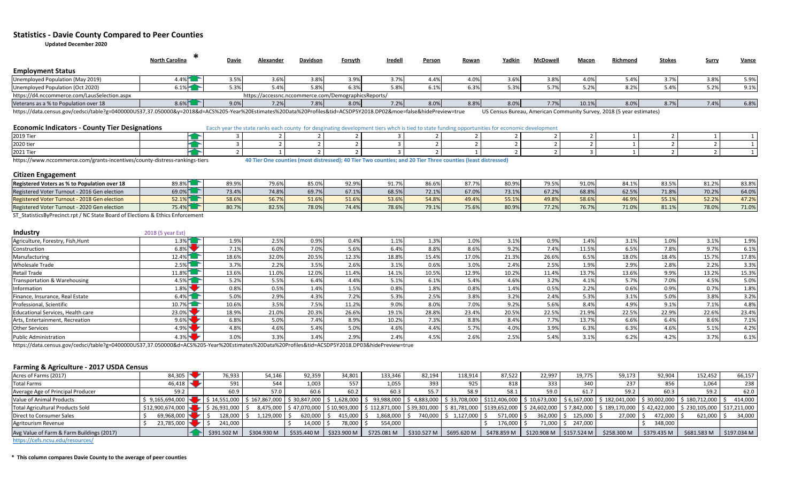### **Statistics - Davie County Compared to Peer Counties**

**Updated December 2020**

|                                              | <b>North Carolina</b> | <b>Davie</b> | Alexander                                            | <b>Davidson</b> | <b>Forsyth</b> | <b>Iredell</b> | <b>Person</b> | <u>Rowan</u> | Yadkin      | McDowell | Macon | Richmond                                                             | <b>Stokes</b> | <b>Surry</b> | <u>Vance</u> |
|----------------------------------------------|-----------------------|--------------|------------------------------------------------------|-----------------|----------------|----------------|---------------|--------------|-------------|----------|-------|----------------------------------------------------------------------|---------------|--------------|--------------|
| <b>Employment Status</b>                     |                       |              |                                                      |                 |                |                |               |              |             |          |       |                                                                      |               |              |              |
| Unemployed Population (May 2019)             | $4.4\%$ T             | 3.5%         | 3.6%                                                 | 3.8%            | 3.9%           | 3.7%           | 4.4%          | 4.0%         | 3.6%        | 3.8%     | 4.0%  | 4%.د                                                                 | 3.7%          | 3.8%         | 5.9%         |
| Unemployed Population (Oct 2020)             | $6.1\%$               | 5.3%         |                                                      | 5.8%            | 6.3%           | 5.8%           | 6.1%          | 6.3%         | 20/<br>J.J/ | 5.7%     |       | 8.2%                                                                 | $\Lambda^{0}$ | 5.2%         | 9.1%         |
| https://d4.nccommerce.com/LausSelection.aspx |                       |              | https://accessnc.nccommerce.com/DemographicsReports/ |                 |                |                |               |              |             |          |       |                                                                      |               |              |              |
| Veterans as a % to Population over 18        | $8.6\%$               | 9.0%         | 7.2%                                                 | 7.89            | 8.0%           | 7.2%           | 8.0%          | 8.8%         | 8.0%        | 7.7%     | 10.1% | 8.0%                                                                 | 8.7%          | 7.4%         | 6.8%         |
|                                              |                       |              |                                                      |                 |                |                |               |              |             |          |       | UC Canaus Burgau, American Campaugin: Curray, 2010 (Eugar optimated) |               |              |              |

https://data.census.gov/cedsci/table?g=0400000US37,37.050000&y=2018&d=ACS%205-Year%20Estimates%20Data%20Profiles&tid=ACSDP5Y2018.DP02&moe=false&hidePreview=true US Census Bureau, American Community Survey, 2018 (5 year est

| <b>Economic Indicators - County Tier Designations</b> | Eacch year the state ranks each county for desginating development tiers whch is tied to state funding opportunities for economic development |
|-------------------------------------------------------|-----------------------------------------------------------------------------------------------------------------------------------------------|
|-------------------------------------------------------|-----------------------------------------------------------------------------------------------------------------------------------------------|

| 2019 Tie                                                                         |  |  |                         |                             |                      |  |  |  |
|----------------------------------------------------------------------------------|--|--|-------------------------|-----------------------------|----------------------|--|--|--|
| 2020 tier                                                                        |  |  |                         |                             |                      |  |  |  |
| 2021 Ti                                                                          |  |  |                         |                             |                      |  |  |  |
| https://www<br>nccommerce.com/grants-incentives/county-distress-rankings-tiers./ |  |  | <b>I</b> wo counties: 1 | : and 20 Tier Three countie | s (least distressed, |  |  |  |

#### **Citizen Engagement**

| Registered Voters as % to Population over 18                               | 89.8% | 89.9%        | 70.01<br>'Y.b"     | 85.0% | 92.9% | 01.70<br>J1.1" | 86.6%                             | 077   | $80.9^\circ$ | <b>70 5%</b><br>7. ل. | 91.09                              |              | $\sim$ $\sim$ $\sim$<br>53.J | 01.20<br>81.Z | 83.8%        |
|----------------------------------------------------------------------------|-------|--------------|--------------------|-------|-------|----------------|-----------------------------------|-------|--------------|-----------------------|------------------------------------|--------------|------------------------------|---------------|--------------|
| er Turnout - 2016 Gen election<br><b>Registered Voter</b>                  | 69.0% | 72.0<br>5.4% | 74.8%              | 69.7% | 67.1% | 68.59          | 72.40<br>72.IY                    | 67.0% | 73.1%        | 27.201<br>1.27        | 68.89                              | <b>62 59</b> | 7100<br>/1.87                | 70.2%         | 54.0%        |
| - 2018 Gen election<br><b>Registered Voter</b><br>Turnout -                | 52.1% | 58.6%        | $FC = 70$<br>36.1% | 51.6% | 51.6% | 53.6%          | 54.8%                             | 19.4% | 55.1%        | 49.8%                 | 58.6%                              | AC<br>ዞb.9ነ  | 55.19                        | 52.2%         | 172<br>41.2% |
| - 2020 Gen election<br><b>Registered Voter</b><br><b>Cor Turnout - 204</b> | 75.4% | 80.7%        | 82.5%              | 78.0% | 74.4% | 78.69          | $\overline{\phantom{a}}$<br>79.1% | 75.6% | 80.9%        | 77.2%                 | $\overline{\phantom{a}}$<br>76.7°, | 71.09        | 81.19                        | 78.0%         | 71.0%        |

ST\_StatisticsByPrecinct.rpt / NC State Board of Elections & Ethics Enforcement

| <b>Industry</b>                   | 2018 (5 year Est) |       |       |       |       |       |       |       |       |       |       |       |         |       |       |
|-----------------------------------|-------------------|-------|-------|-------|-------|-------|-------|-------|-------|-------|-------|-------|---------|-------|-------|
| Agriculture, Forestry, Fish, Hunt | $1.3\%$           | 1.9%  | 2.5%  | 0.9%  | 0.4%  | 1.1%  | 1.3%  | 1.0%  | 3.1%  | 0.9%  | 4.4%  | 3.1%  | $1.0\%$ | 3.1%  | 1.9%  |
| Construction                      | 6.8%              | 7.1%  | 6.0%  | 7.0%  | 5.6%  | 6.4%  | 8.8%  | 8.6%  | 9.2%  | 7.4%  | 11.5% | 6.5%  | 7.8%    | 9.7%  | 6.1%  |
| Manufacturing                     | $12.4\%$          | 18.6% | 32.0% | 20.5% | 12.3% | 18.8% | 15.4% | 17.0% | 21.3% | 26.6% | 6.5%  | 18.0% | 18.4%   | 15.7% | 17.8% |
| <b>Wholesale Trade</b>            | $2.5\%$           | 3.7%  | 2.2%  | 3.5%  | 2.6%  | 3.1%  | 0.6%  | 3.0%  | 2.4%  | 2.5%  | 1.9%  | 2.9%  | 2.8%    | 2.2%  | 3.3%  |
| <b>Retail Trade</b>               | $11.8\%$          | 13.6% | 11.0% | 12.0% | 11.4% | 14.1% | 10.5% | 12.9% | 10.2% | 11.4% | 13.79 | 13.6% | 9.9%    | 13.2% | 15.3% |
| Transportation & Warehousing      | 4.5%              | 5.2%  | 5.5%  | 6.4%  | 4.4%  | 5.1%  | 6.1%  | 5.4%  | 4.6%  | 3.2%  | 4.1%  | 5.7%  | 7.0%    | 4.5%  | 5.0%  |
| Information                       | $1.8\%$           | 0.8%  | 0.5%  | 1.4%  | 1.5%  | 0.8%  | 1.8%  | 0.8%  | 1.4%  | 0.5%  | 2.2%  | 0.6%  | 0.9%    | 0.7%  | 1.8%  |
| Finance, Insurance, Real Estate   | 6.4%              | 5.0%  | 2.9%  | 4.3%  | 7.2%  | 5.3%  | 2.5%  | 3.8%  | 3.2%  | 2.4%  | 5.3%  | 3.1%  | 5.0%    | 3.8%  | 3.2%  |
| Professional, Scientific          | 10.7%             | 10.6% | 3.5%  | 7.5%  | 11.2% | 9.0%  | 8.0%  | 7.0%  | 9.2%  | 5.6%  | 8.4%  | 4.9%  | 9.1%    | 7.1%  | 4.8%  |
| Educational Services, Health care | 23.0%             | 18.9% | 21.0% | 20.3% | 26.6% | 19.1% | 28.8% | 23.4% | 20.5% | 22.5% | 21.9% | 22.5% | 22.9%   | 22.6% | 23.4% |
| Arts, Entertainment, Recreation   | 9.6%              | 6.8%  | 5.0%  | 7.4%  | 8.9%  | 10.2% | 7.3%  | 8.8%  | 8.4%  | 7.7%  | 13.79 | 6.6%  | 6.4%    | 8.6%  | 7.1%  |
| <b>Other Services</b>             | 4.9%              | 4.8%  | 4.6%  | 5.4%  | 5.0%  | 4.6%  | 4.4%  | 5.7%  | 4.0%  | 3.9%  | 6.39  | 6.3%  | 4.6%    | 5.1%  | 4.2%  |
| <b>Public Administration</b>      | $4.3\%$           | 3.0%  | 3.3%  | 3.4%  | 2.9%  | 2.4%  | 4.5%  | 2.6%  | 2.5%  | 5.4%  | 3.1%  | 6.2%  | 4.2%    | 3.7%  | 6.1%  |

https://data.census.gov/cedsci/table?g=0400000US37,37.050000&d=ACS%205-Year%20Estimates%20Data%20Profiles&tid=ACSDP5Y2018.DP03&hidePreview=true

#### **Farming & Agriculture - 2017 USDA Census**

| Acres of Farms (2017)                     | 84,305           | 76,933                                                                                                                                                                                                                                            | 54,146      | 92,359                  | 34,801  | 133,346        | 82,194      | 118,914                 | 87,522      | 22.997                  | 19,775                | 59,173                                                                                                                                                                                                     | 92,904      | 152,452       | 66,157      |
|-------------------------------------------|------------------|---------------------------------------------------------------------------------------------------------------------------------------------------------------------------------------------------------------------------------------------------|-------------|-------------------------|---------|----------------|-------------|-------------------------|-------------|-------------------------|-----------------------|------------------------------------------------------------------------------------------------------------------------------------------------------------------------------------------------------------|-------------|---------------|-------------|
| <b>Total Farms</b>                        | 46,418           | 591                                                                                                                                                                                                                                               | 544         | 1,003                   | 557     | 1,055          | 393         | 925                     | 818         | 333                     | 340                   | 237                                                                                                                                                                                                        | 856         | 1,064         | 238         |
| Average Age of Principal Producer         |                  | 60.9                                                                                                                                                                                                                                              | 57.0        | 60.6                    | 60.2    | 60.3           | 55.7        | 58.9                    | 58.1        | 59.0                    | 61.7                  | 59.7                                                                                                                                                                                                       | 60.3        | 59.2          | 62.0        |
| Value of Animal Products                  |                  | \$ 9,165,694,000 \$ 18,001,000 \$ 16,581,000 \$ 167,867,000 \$ 30,847,000 \$ 1,628,000 \$ 93,988,000 \$ 4,883,000 \$ 33,708,000 \$ \$112,406,000 \$ 10,673,000 \$ \$ 0,673,000 \$ 180,002,000 \$ 30,002,000 \$ \$ 30,002,000 \$ \$ 180,712,000 \$ |             |                         |         |                |             |                         |             |                         |                       |                                                                                                                                                                                                            |             |               | 414,000     |
| <b>Total Agricultural Products Sold</b>   | \$12,900,674,000 | $\blacktriangleright$   \$ 26.931.000   \$                                                                                                                                                                                                        |             |                         |         |                |             |                         |             |                         |                       | 8,475,000   \$ 47,070,000   \$ 10,903,000   \$ 112,871,000   \$ 39,301,000   \$ 81,781,000   \$139,652,000   \$ 2,4602,000   \$ 7,842,000   \$ 189,170,000   \$ 42,422,000   \$ 230,105,000   \$17,211,000 |             |               |             |
| Direct to Consumer Sales                  | 69,968,000       | 128,000                                                                                                                                                                                                                                           | 1,129,000   | $620,000$ $\mid$ \$     | 415,000 | $1,868,000$ \$ |             | 740,000 \$ 1,127,000 \$ | 571,000     |                         | 362,000 \$ 125,000 \$ | 27,000                                                                                                                                                                                                     | 472,000     | 621,000       | 34,000      |
| Agritourism Revenue                       | 23,785,000       | 241,000                                                                                                                                                                                                                                           |             | $14,000$ \$             | 78,000  | 554,000        |             |                         | 176,000     |                         | 71,000   \$ 247,000   |                                                                                                                                                                                                            | 348,000     |               |             |
| Avg Value of Farm & Farm Buildings (2017) |                  | \$391.502 M                                                                                                                                                                                                                                       | \$304.930 M | \$535.440 M \$323.900 M |         | \$725.081 M    | \$310.527 M | \$695.620 M             | \$478.859 M | \$120.908 M \$157.524 M |                       | \$258,300 M                                                                                                                                                                                                | \$379.435 M | \$681.583 M\$ | \$197.034 M |
|                                           |                  |                                                                                                                                                                                                                                                   |             |                         |         |                |             |                         |             |                         |                       |                                                                                                                                                                                                            |             |               |             |

<https://cefs.ncsu.edu/resources/>

**\* This column compares Davie County to the average of peer counties**